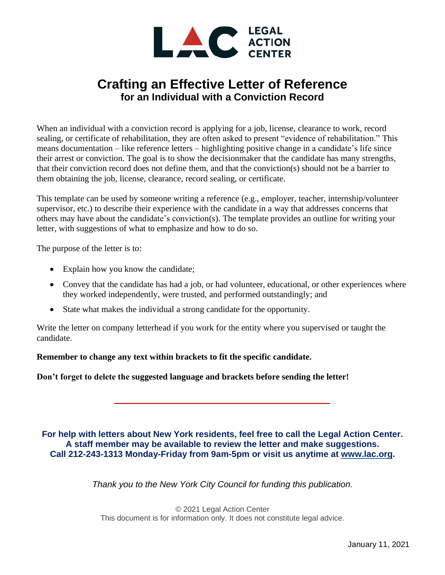

## **Crafting an Effective Letter of Reference for an Individual with a Conviction Record**

When an individual with a conviction record is applying for a job, license, clearance to work, record sealing, or certificate of rehabilitation, they are often asked to present "evidence of rehabilitation." This means documentation – like reference letters – highlighting positive change in a candidate's life since their arrest or conviction. The goal is to show the decisionmaker that the candidate has many strengths, that their conviction record does not define them, and that the conviction(s) should not be a barrier to them obtaining the job, license, clearance, record sealing, or certificate.

This template can be used by someone writing a reference (e.g., employer, teacher, internship/volunteer supervisor, etc.) to describe their experience with the candidate in a way that addresses concerns that others may have about the candidate's conviction(s). The template provides an outline for writing your letter, with suggestions of what to emphasize and how to do so.

The purpose of the letter is to:

- Explain how you know the candidate;
- Convey that the candidate has had a job, or had volunteer, educational, or other experiences where they worked independently, were trusted, and performed outstandingly; and
- State what makes the individual a strong candidate for the opportunity.

Write the letter on company letterhead if you work for the entity where you supervised or taught the candidate.

**Remember to change any text within brackets to fit the specific candidate.**

**Don't forget to delete the suggested language and brackets before sending the letter!**

**For help with letters about New York residents, feel free to call the Legal Action Center. A staff member may be available to review the letter and make suggestions. Call 212-243-1313 Monday-Friday from 9am-5pm or visit us anytime at [www.lac.org.](http://www.lac.org/)**

**\_\_\_\_\_\_\_\_\_\_\_\_\_\_\_\_\_\_\_\_\_\_\_\_\_\_\_\_\_\_\_\_\_**

*Thank you to the New York City Council for funding this publication.*

© 2021 Legal Action Center This document is for information only. It does not constitute legal advice.